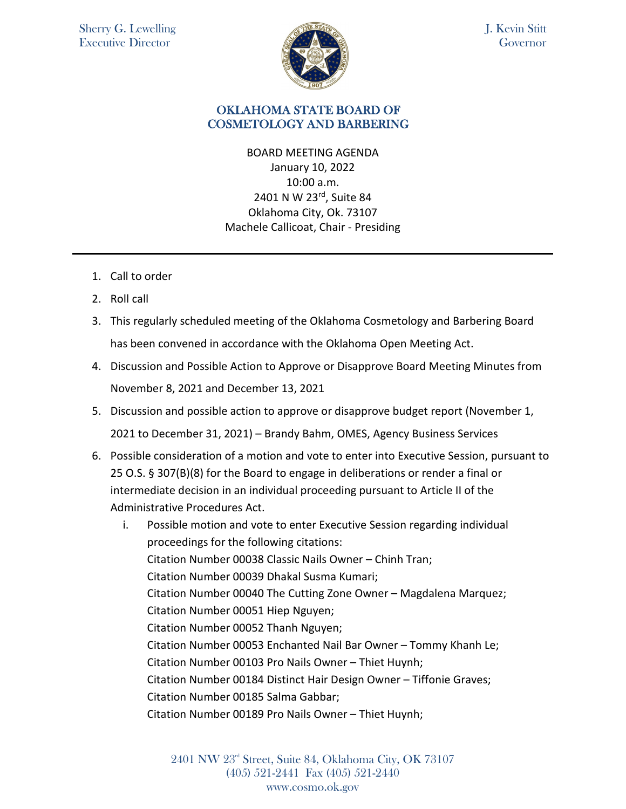

J. Kevin Stitt **Governor** 

## OKLAHOMA STATE BOARD OF COSMETOLOGY AND BARBERING

BOARD MEETING AGENDA January 10, 2022 10:00 a.m. 2401 N W 23<sup>rd</sup>, Suite 84 Oklahoma City, Ok. 73107 Machele Callicoat, Chair - Presiding

- 1. Call to order
- 2. Roll call
- 3. This regularly scheduled meeting of the Oklahoma Cosmetology and Barbering Board has been convened in accordance with the Oklahoma Open Meeting Act.
- 4. Discussion and Possible Action to Approve or Disapprove Board Meeting Minutes from November 8, 2021 and December 13, 2021
- 5. Discussion and possible action to approve or disapprove budget report (November 1, 2021 to December 31, 2021) – Brandy Bahm, OMES, Agency Business Services
- 6. Possible consideration of a motion and vote to enter into Executive Session, pursuant to 25 O.S. § 307(B)(8) for the Board to engage in deliberations or render a final or intermediate decision in an individual proceeding pursuant to Article II of the Administrative Procedures Act.

i. Possible motion and vote to enter Executive Session regarding individual proceedings for the following citations: Citation Number 00038 Classic Nails Owner – Chinh Tran; Citation Number 00039 Dhakal Susma Kumari; Citation Number 00040 The Cutting Zone Owner – Magdalena Marquez; Citation Number 00051 Hiep Nguyen; Citation Number 00052 Thanh Nguyen; Citation Number 00053 Enchanted Nail Bar Owner – Tommy Khanh Le; Citation Number 00103 Pro Nails Owner – Thiet Huynh; Citation Number 00184 Distinct Hair Design Owner – Tiffonie Graves; Citation Number 00185 Salma Gabbar; Citation Number 00189 Pro Nails Owner – Thiet Huynh;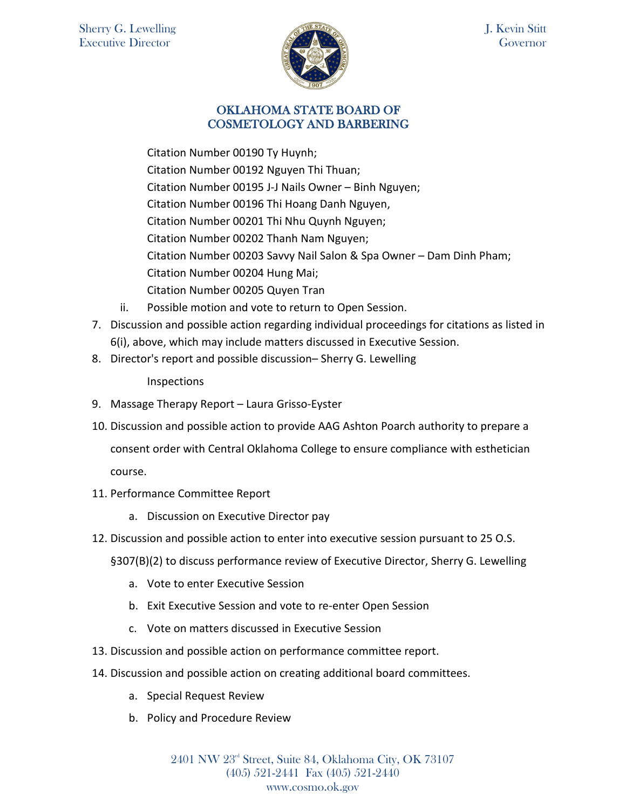

## OKLAHOMA STATE BOARD OF COSMETOLOGY AND BARBERING

Citation Number 00190 Ty Huynh; Citation Number 00192 Nguyen Thi Thuan; Citation Number 00195 J-J Nails Owner – Binh Nguyen; Citation Number 00196 Thi Hoang Danh Nguyen, Citation Number 00201 Thi Nhu Quynh Nguyen; Citation Number 00202 Thanh Nam Nguyen; Citation Number 00203 Savvy Nail Salon & Spa Owner – Dam Dinh Pham; Citation Number 00204 Hung Mai; Citation Number 00205 Quyen Tran

- ii. Possible motion and vote to return to Open Session.
- 7. Discussion and possible action regarding individual proceedings for citations as listed in 6(i), above, which may include matters discussed in Executive Session.
- 8. Director's report and possible discussion– Sherry G. Lewelling

Inspections

- 9. Massage Therapy Report Laura Grisso-Eyster
- 10. Discussion and possible action to provide AAG Ashton Poarch authority to prepare a consent order with Central Oklahoma College to ensure compliance with esthetician course.
- 11. Performance Committee Report
	- a. Discussion on Executive Director pay
- 12. Discussion and possible action to enter into executive session pursuant to 25 O.S.
	- §307(B)(2) to discuss performance review of Executive Director, Sherry G. Lewelling
		- a. Vote to enter Executive Session
		- b. Exit Executive Session and vote to re-enter Open Session
		- c. Vote on matters discussed in Executive Session
- 13. Discussion and possible action on performance committee report.
- 14. Discussion and possible action on creating additional board committees.
	- a. Special Request Review
	- b. Policy and Procedure Review

2401 NW 23rd Street, Suite 84, Oklahoma City, OK 73107 (405) 521-2441 Fax (405) 521-2440 www.cosmo.ok.gov